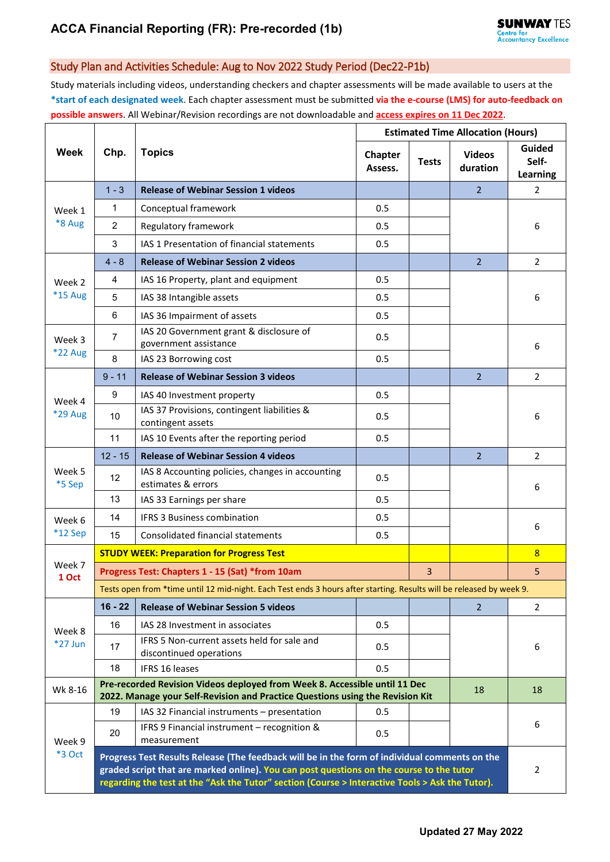## Study Plan and Activities Schedule: Aug to Nov 2022 Study Period (Dec22-P1b)

Study materials including videos, understanding checkers and chapter assessments will be made available to users at the **\*start of each designated week**. Each chapter assessment must be submitted **via the e-course (LMS) for auto-feedback on possible answers**. All Webinar/Revision recordings are not downloadable and **access expires on 11 Dec 2022**.

| Week                     | Chp.                                                                                                                                                                                                                                                                                         | <b>Topics</b>                                                          | <b>Estimated Time Allocation (Hours)</b> |              |                           |                             |  |  |
|--------------------------|----------------------------------------------------------------------------------------------------------------------------------------------------------------------------------------------------------------------------------------------------------------------------------------------|------------------------------------------------------------------------|------------------------------------------|--------------|---------------------------|-----------------------------|--|--|
|                          |                                                                                                                                                                                                                                                                                              |                                                                        | Chapter<br>Assess.                       | <b>Tests</b> | <b>Videos</b><br>duration | Guided<br>Self-<br>Learning |  |  |
| Week 1<br>*8 Aug         | $1 - 3$                                                                                                                                                                                                                                                                                      | <b>Release of Webinar Session 1 videos</b>                             |                                          |              | $\overline{2}$            | 2                           |  |  |
|                          | 1                                                                                                                                                                                                                                                                                            | Conceptual framework                                                   | 0.5                                      |              |                           |                             |  |  |
|                          | $\overline{2}$                                                                                                                                                                                                                                                                               | Regulatory framework                                                   | 0.5                                      |              |                           | 6                           |  |  |
|                          | 3                                                                                                                                                                                                                                                                                            | IAS 1 Presentation of financial statements                             | 0.5                                      |              |                           |                             |  |  |
|                          | $4 - 8$                                                                                                                                                                                                                                                                                      | <b>Release of Webinar Session 2 videos</b>                             |                                          |              | 2 <sup>1</sup>            | $\overline{2}$              |  |  |
| Week 2<br><b>*15 Aug</b> | 4                                                                                                                                                                                                                                                                                            | IAS 16 Property, plant and equipment                                   | 0.5                                      |              |                           | 6                           |  |  |
|                          | 5                                                                                                                                                                                                                                                                                            | IAS 38 Intangible assets                                               | 0.5                                      |              |                           |                             |  |  |
|                          | 6                                                                                                                                                                                                                                                                                            | IAS 36 Impairment of assets                                            | 0.5                                      |              |                           |                             |  |  |
| Week 3<br>*22 Aug        | 7                                                                                                                                                                                                                                                                                            | IAS 20 Government grant & disclosure of<br>government assistance       | 0.5                                      |              |                           | 6                           |  |  |
|                          | 8                                                                                                                                                                                                                                                                                            | IAS 23 Borrowing cost                                                  | 0.5                                      |              |                           |                             |  |  |
|                          | $9 - 11$                                                                                                                                                                                                                                                                                     | <b>Release of Webinar Session 3 videos</b>                             |                                          |              | $\overline{2}$            | $\overline{2}$              |  |  |
| Week 4                   | 9                                                                                                                                                                                                                                                                                            | IAS 40 Investment property                                             | 0.5                                      |              |                           | 6                           |  |  |
| *29 Aug                  | 10                                                                                                                                                                                                                                                                                           | IAS 37 Provisions, contingent liabilities &<br>contingent assets       | 0.5                                      |              |                           |                             |  |  |
|                          | 11                                                                                                                                                                                                                                                                                           | IAS 10 Events after the reporting period                               | 0.5                                      |              |                           |                             |  |  |
| Week 5<br>*5 Sep         | $12 - 15$                                                                                                                                                                                                                                                                                    | <b>Release of Webinar Session 4 videos</b>                             |                                          |              | $\overline{2}$            | $\overline{2}$              |  |  |
|                          | 12                                                                                                                                                                                                                                                                                           | IAS 8 Accounting policies, changes in accounting<br>estimates & errors | 0.5                                      |              |                           | 6                           |  |  |
|                          | 13                                                                                                                                                                                                                                                                                           | IAS 33 Earnings per share                                              | 0.5                                      |              |                           |                             |  |  |
| Week 6                   | 14                                                                                                                                                                                                                                                                                           | <b>IFRS 3 Business combination</b>                                     | 0.5                                      |              |                           | 6                           |  |  |
| *12 Sep                  | 15                                                                                                                                                                                                                                                                                           | <b>Consolidated financial statements</b>                               | 0.5                                      |              |                           |                             |  |  |
| Week 7<br>1 Oct          | <b>STUDY WEEK: Preparation for Progress Test</b>                                                                                                                                                                                                                                             |                                                                        |                                          |              |                           | 8                           |  |  |
|                          | Progress Test: Chapters 1 - 15 (Sat) *from 10am<br>3                                                                                                                                                                                                                                         |                                                                        |                                          |              |                           | 5                           |  |  |
|                          | Tests open from *time until 12 mid-night. Each Test ends 3 hours after starting. Results will be released by week 9.                                                                                                                                                                         |                                                                        |                                          |              |                           |                             |  |  |
| Week 8<br>$*27$ Jun      | $16 - 22$                                                                                                                                                                                                                                                                                    | <b>Release of Webinar Session 5 videos</b>                             |                                          |              | $\overline{2}$            | 2                           |  |  |
|                          | 16                                                                                                                                                                                                                                                                                           | IAS 28 Investment in associates                                        | 0.5                                      |              |                           | 6                           |  |  |
|                          | 17                                                                                                                                                                                                                                                                                           | IFRS 5 Non-current assets held for sale and<br>discontinued operations | 0.5                                      |              |                           |                             |  |  |
|                          | 18                                                                                                                                                                                                                                                                                           | <b>IFRS 16 leases</b>                                                  | 0.5                                      |              |                           |                             |  |  |
| Wk 8-16                  | Pre-recorded Revision Videos deployed from Week 8. Accessible until 11 Dec<br>18<br>2022. Manage your Self-Revision and Practice Questions using the Revision Kit                                                                                                                            |                                                                        |                                          |              |                           |                             |  |  |
| Week 9<br><b>*3 Oct</b>  | 19                                                                                                                                                                                                                                                                                           | IAS 32 Financial instruments - presentation                            | 0.5                                      |              |                           |                             |  |  |
|                          | 20                                                                                                                                                                                                                                                                                           | IFRS 9 Financial instrument - recognition &<br>measurement             | 0.5                                      |              |                           | 6                           |  |  |
|                          | Progress Test Results Release (The feedback will be in the form of individual comments on the<br>graded script that are marked online). You can post questions on the course to the tutor<br>regarding the test at the "Ask the Tutor" section (Course > Interactive Tools > Ask the Tutor). |                                                                        |                                          |              |                           |                             |  |  |